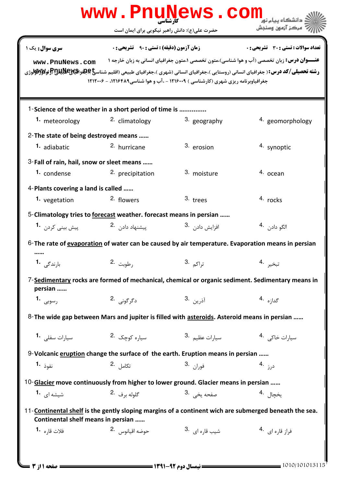|                                                                                                                                                                                                                                                                                                                                                                                                                                                                                                                 | www.PnuNews.com                                                                                         |                             | دانشگاه سام نه                                                                                              |  |  |  |
|-----------------------------------------------------------------------------------------------------------------------------------------------------------------------------------------------------------------------------------------------------------------------------------------------------------------------------------------------------------------------------------------------------------------------------------------------------------------------------------------------------------------|---------------------------------------------------------------------------------------------------------|-----------------------------|-------------------------------------------------------------------------------------------------------------|--|--|--|
|                                                                                                                                                                                                                                                                                                                                                                                                                                                                                                                 | حضرت علی(ع): دانش راهبر نیکویی برای ایمان است                                                           |                             | " مرڪز آزمون وسنڊش                                                                                          |  |  |  |
| <b>زمان آزمون (دقیقه) : تستی : ۹۰٪ تشریحی : 0</b><br><b>تعداد سوالات : تستی : 30 ٪ تشریحی : 0</b><br><b>سری سوال :</b> یک ۱<br><b>عنـــوان درس:</b> زبان تخصصي (آب و هوا شناسي)،متون تخصصي ۱،متون جغرافياي انساني به زبان خارجه ۱<br>www.PnuNews.com<br><b>رشته تحصیلی/کد درس:</b> ( جغرافیای انسانی (روستایی )،جغرافیای انسانی (شهری )،جغرافیای طبیعی (اقلیم شناس <b>یاچلو اقیالاچلالاتا (آژولالاپلالاتا</b> لاتی (آژولا)<br>جغرافیاوبرنامه ریزی شهری (کارشناسی ) ۱۲۱۶۰۰۹ - ،آب و هوا شناسی ۱۲۱۶۴۸۹، - ۱۲۱۲۰۰۶ |                                                                                                         |                             |                                                                                                             |  |  |  |
| 1. meteorology                                                                                                                                                                                                                                                                                                                                                                                                                                                                                                  | 1-Science of the weather in a short period of time is<br>2. climatology                                 | 3. geography                | 4. geomorphology                                                                                            |  |  |  |
| 2-The state of being destroyed means<br><sup>1.</sup> adiabatic                                                                                                                                                                                                                                                                                                                                                                                                                                                 | <sup>2.</sup> hurricane                                                                                 | 3. erosion                  | 4. synoptic                                                                                                 |  |  |  |
| 3-Fall of rain, hail, snow or sleet means<br>1. condense                                                                                                                                                                                                                                                                                                                                                                                                                                                        | 2. precipitation                                                                                        | 3. moisture                 | 4. ocean                                                                                                    |  |  |  |
| 4-Plants covering a land is called<br>1. vegetation                                                                                                                                                                                                                                                                                                                                                                                                                                                             | 2. flowers                                                                                              | 3. trees                    | 4. rocks                                                                                                    |  |  |  |
| پیش بین <i>ی</i> کردن <b>۔1</b>                                                                                                                                                                                                                                                                                                                                                                                                                                                                                 | 5-Climatology tries to forecast weather. forecast means in persian<br>ییشنهاد داد <sub>ن</sub> .2       | افزايش داد <sub>ن</sub> .3  | الگو دادن 4.                                                                                                |  |  |  |
|                                                                                                                                                                                                                                                                                                                                                                                                                                                                                                                 |                                                                                                         |                             | 6-The rate of evaporation of water can be caused by air temperature. Evaporation means in persian           |  |  |  |
| بارندگ <sub>ی</sub> 1.<br>persian                                                                                                                                                                                                                                                                                                                                                                                                                                                                               | رطوبت <sup>.2</sup>                                                                                     | تراكم <sup>.3</sup>         | تبخير 4<br>7-Sedimentary rocks are formed of mechanical, chemical or organic sediment. Sedimentary means in |  |  |  |
| رسوبى 1.                                                                                                                                                                                                                                                                                                                                                                                                                                                                                                        | دگرگونی .2                                                                                              | آذرين .3                    | گدا <sub>زه</sub> .4                                                                                        |  |  |  |
|                                                                                                                                                                                                                                                                                                                                                                                                                                                                                                                 | 8- The wide gap between Mars and jupiter is filled with asteroids. Asteroid means in persian            |                             |                                                                                                             |  |  |  |
| سیارات سفلی 1.                                                                                                                                                                                                                                                                                                                                                                                                                                                                                                  | سياره كوچک 2.                                                                                           | سيارات عظيم .3              | سیارات خاکی 4.                                                                                              |  |  |  |
| نفوذ <b>1.</b>                                                                                                                                                                                                                                                                                                                                                                                                                                                                                                  | 9-Volcanic eruption change the surface of the earth. Eruption means in persian<br>2. تكامل <sup>2</sup> | فوران 3.                    | د <sub>رز</sub> 4.                                                                                          |  |  |  |
| شیشه ای <b>1</b> ۰                                                                                                                                                                                                                                                                                                                                                                                                                                                                                              | 10-Glacier move continuously from higher to lower ground. Glacier means in persian<br>گلوله برف 2.      | صفحه يخي . 3                | يخچال <sup>4</sup> ۰                                                                                        |  |  |  |
| 11-Continental shelf is the gently sloping margins of a continent wich are submerged beneath the sea.<br>Continental shelf means in persian                                                                                                                                                                                                                                                                                                                                                                     |                                                                                                         |                             |                                                                                                             |  |  |  |
| فلات قا <sub>ر</sub> ه <b>-1</b>                                                                                                                                                                                                                                                                                                                                                                                                                                                                                | حوضه اقيانوس 2.                                                                                         | شیب قا <sub>ر</sub> ه ای 3. | فراز قاره ای 4.                                                                                             |  |  |  |
|                                                                                                                                                                                                                                                                                                                                                                                                                                                                                                                 |                                                                                                         |                             |                                                                                                             |  |  |  |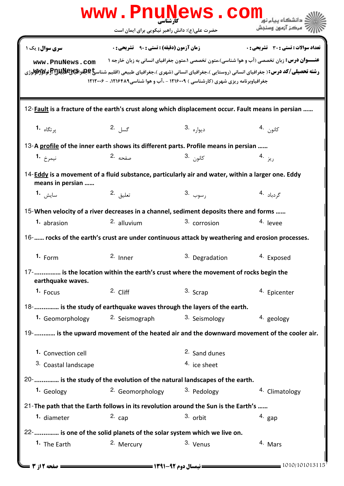|                                                                                                                          | www.PnuNews.com                                                                                                                         |                        |                                                                                                                                                                                                                                                                                                                       |  |  |
|--------------------------------------------------------------------------------------------------------------------------|-----------------------------------------------------------------------------------------------------------------------------------------|------------------------|-----------------------------------------------------------------------------------------------------------------------------------------------------------------------------------------------------------------------------------------------------------------------------------------------------------------------|--|--|
|                                                                                                                          | حضرت علی(ع): دانش راهبر نیکویی برای ایمان است                                                                                           |                        | " مرڪز آزمون وسنڊش                                                                                                                                                                                                                                                                                                    |  |  |
| سری سوال : یک ۱<br>www.PnuNews.com                                                                                       | <b>زمان آزمون (دقیقه) : تستی : 90 ٪ تشریحی : 0</b><br>جغرافیاوبرنامه ریزی شهری (کارشناسی ) ۱۲۱۶۰۰۹ - ،آب و هوا شناسی ۱۲۱۶۴۸۹، - ۱۲۱۲۰۰۶ |                        | <b>تعداد سوالات : تستی : 30 ٪ تشریحی : 0</b><br><b>عنـــوان درس:</b> زبان تخصصي (آب و هوا شناسي)،متون تخصصي ۱،متون جغرافياي انساني به زبان خارجه ۱<br>ر <b>شته تحصیلی/کد درس:</b> ( جغرافیای انسانی (روستایی )،جغرافیای انسانی (شهری )،جغرافیای طبیعی (اقلیم شناس <b>یا عِطِداقیالالیافیاللاتی او گولاواتو</b> لاروژی |  |  |
| 12- <b>Fault</b> is a fracture of the earth's crust along which displacement occur. Fault means in persian               |                                                                                                                                         |                        |                                                                                                                                                                                                                                                                                                                       |  |  |
| پر تگاه <b>-1</b>                                                                                                        | گسل . <sup>2</sup>                                                                                                                      | ديوا <sub>ر</sub> ه .3 | كانون .4                                                                                                                                                                                                                                                                                                              |  |  |
| 13-A profile of the inner earth shows its different parts. Profile means in persian                                      |                                                                                                                                         |                        |                                                                                                                                                                                                                                                                                                                       |  |  |
| نيمرخ <b>1.</b>                                                                                                          | صفحه .2                                                                                                                                 | كانو <sub>ن</sub> .3   | ریز .4                                                                                                                                                                                                                                                                                                                |  |  |
| 14- $Eddy$ is a movement of a fluid substance, particularly air and water, within a larger one. Eddy<br>means in persian |                                                                                                                                         |                        |                                                                                                                                                                                                                                                                                                                       |  |  |
| سايش 1.                                                                                                                  | تعليق 2.                                                                                                                                | رسوب 3.                | گردباد .4                                                                                                                                                                                                                                                                                                             |  |  |
| 15-When velocity of a river decreases in a channel, sediment deposits there and forms                                    |                                                                                                                                         |                        |                                                                                                                                                                                                                                                                                                                       |  |  |
| 1. abrasion                                                                                                              | $2.$ alluvium                                                                                                                           | 3. corrosion           | 4. levee                                                                                                                                                                                                                                                                                                              |  |  |
| 16- rocks of the earth's crust are under continuous attack by weathering and erosion processes.                          |                                                                                                                                         |                        |                                                                                                                                                                                                                                                                                                                       |  |  |
| $1.$ Form                                                                                                                | 2. Inner                                                                                                                                | 3. Degradation         | <sup>4.</sup> Exposed                                                                                                                                                                                                                                                                                                 |  |  |
| 17- is the location within the earth's crust where the movement of rocks begin the<br>earthquake waves.                  |                                                                                                                                         |                        |                                                                                                                                                                                                                                                                                                                       |  |  |
| 1. Focus                                                                                                                 | $2.$ Cliff                                                                                                                              | 3. Scrap               | <sup>4</sup> Epicenter                                                                                                                                                                                                                                                                                                |  |  |
| 18- is the study of earthquake waves through the layers of the earth.                                                    |                                                                                                                                         |                        |                                                                                                                                                                                                                                                                                                                       |  |  |
|                                                                                                                          | 1. Geomorphology 2. Seismograph                                                                                                         | 3. Seismology          | 4. geology                                                                                                                                                                                                                                                                                                            |  |  |
|                                                                                                                          |                                                                                                                                         |                        | 19- is the upward movement of the heated air and the downward movement of the cooler air.                                                                                                                                                                                                                             |  |  |
| 1. Convection cell                                                                                                       |                                                                                                                                         | 2. Sand dunes          |                                                                                                                                                                                                                                                                                                                       |  |  |
| 3. Coastal landscape                                                                                                     |                                                                                                                                         | 4. ice sheet           |                                                                                                                                                                                                                                                                                                                       |  |  |
| 20-  is the study of the evolution of the natural landscapes of the earth.                                               |                                                                                                                                         |                        |                                                                                                                                                                                                                                                                                                                       |  |  |
| 1. Geology                                                                                                               | <sup>2.</sup> Geomorphology                                                                                                             | 3. Pedology            | 4. Climatology                                                                                                                                                                                                                                                                                                        |  |  |
| 21-The path that the Earth follows in its revolution around the Sun is the Earth's                                       |                                                                                                                                         |                        |                                                                                                                                                                                                                                                                                                                       |  |  |
| <sup>1.</sup> diameter                                                                                                   | $2c$ cap                                                                                                                                | 3. orbit               | $4.$ gap                                                                                                                                                                                                                                                                                                              |  |  |
| 22-  is one of the solid planets of the solar system which we live on.                                                   |                                                                                                                                         |                        |                                                                                                                                                                                                                                                                                                                       |  |  |
| 1. The Earth                                                                                                             | 2. Mercury                                                                                                                              | 3. Venus               | 4. Mars                                                                                                                                                                                                                                                                                                               |  |  |
| <b>: صفحه 12; 3 ـــ</b>                                                                                                  |                                                                                                                                         |                        | 1010/101013115                                                                                                                                                                                                                                                                                                        |  |  |